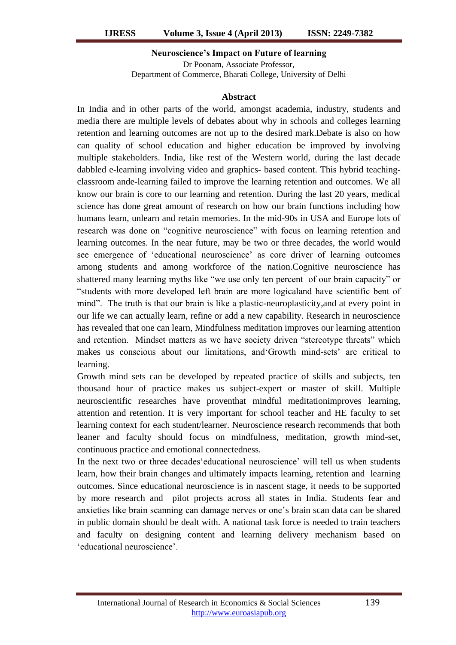## **Neuroscience's Impact on Future of learning**

Dr Poonam, Associate Professor, Department of Commerce, Bharati College, University of Delhi

## **Abstract**

In India and in other parts of the world, amongst academia, industry, students and media there are multiple levels of debates about why in schools and colleges learning retention and learning outcomes are not up to the desired mark.Debate is also on how can quality of school education and higher education be improved by involving multiple stakeholders. India, like rest of the Western world, during the last decade dabbled e-learning involving video and graphics- based content. This hybrid teachingclassroom ande-learning failed to improve the learning retention and outcomes. We all know our brain is core to our learning and retention. During the last 20 years, medical science has done great amount of research on how our brain functions including how humans learn, unlearn and retain memories. In the mid-90s in USA and Europe lots of research was done on "cognitive neuroscience" with focus on learning retention and learning outcomes. In the near future, may be two or three decades, the world would see emergence of 'educational neuroscience' as core driver of learning outcomes among students and among workforce of the nation.Cognitive neuroscience has shattered many learning myths like "we use only ten percent of our brain capacity" or "students with more developed left brain are more logicaland have scientific bent of mind". The truth is that our brain is like a plastic-neuroplasticity,and at every point in our life we can actually learn, refine or add a new capability. Research in neuroscience has revealed that one can learn, Mindfulness meditation improves our learning attention and retention. Mindset matters as we have society driven "stereotype threats" which makes us conscious about our limitations, and Growth mind-sets' are critical to learning.

Growth mind sets can be developed by repeated practice of skills and subjects, ten thousand hour of practice makes us subject-expert or master of skill. Multiple neuroscientific researches have proventhat mindful meditationimproves learning, attention and retention. It is very important for school teacher and HE faculty to set learning context for each student/learner. Neuroscience research recommends that both leaner and faculty should focus on mindfulness, meditation, growth mind-set, continuous practice and emotional connectedness.

In the next two or three decades"educational neuroscience" will tell us when students learn, how their brain changes and ultimately impacts learning, retention and learning outcomes. Since educational neuroscience is in nascent stage, it needs to be supported by more research and pilot projects across all states in India. Students fear and anxieties like brain scanning can damage nerves or one"s brain scan data can be shared in public domain should be dealt with. A national task force is needed to train teachers and faculty on designing content and learning delivery mechanism based on "educational neuroscience".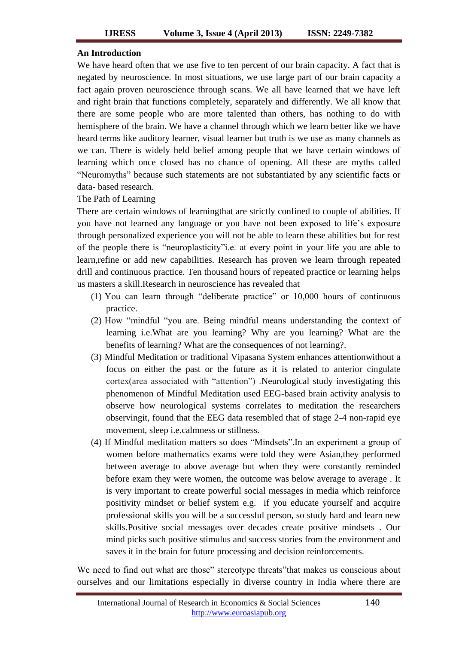## **An Introduction**

We have heard often that we use five to ten percent of our brain capacity. A fact that is negated by neuroscience. In most situations, we use large part of our brain capacity a fact again proven neuroscience through scans. We all have learned that we have left and right brain that functions completely, separately and differently. We all know that there are some people who are more talented than others, has nothing to do with hemisphere of the brain. We have a channel through which we learn better like we have heard terms like auditory learner, visual learner but truth is we use as many channels as we can. There is widely held belief among people that we have certain windows of learning which once closed has no chance of opening. All these are myths called "Neuromyths" because such statements are not substantiated by any scientific facts or data- based research.

The Path of Learning

There are certain windows of learningthat are strictly confined to couple of abilities. If you have not learned any language or you have not been exposed to life"s exposure through personalized experience you will not be able to learn these abilities but for rest of the people there is "neuroplasticity"i.e. at every point in your life you are able to learn,refine or add new capabilities. Research has proven we learn through repeated drill and continuous practice. Ten thousand hours of repeated practice or learning helps us masters a skill.Research in neuroscience has revealed that

- (1) You can learn through "deliberate practice" or 10,000 hours of continuous practice.
- (2) How "mindful "you are. Being mindful means understanding the context of learning i.e.What are you learning? Why are you learning? What are the benefits of learning? What are the consequences of not learning?.
- (3) Mindful Meditation or traditional Vipasana System enhances attentionwithout a focus on either the past or the future as it is related to anterior cingulate cortex(area associated with "attention") .Neurological study investigating this phenomenon of Mindful Meditation used EEG-based brain activity analysis to observe how neurological systems correlates to meditation the researchers observingit, found that the EEG data resembled that of stage 2-4 non-rapid eye movement, sleep i.e.calmness or stillness.
- (4) If Mindful meditation matters so does "Mindsets".In an experiment a group of women before mathematics exams were told they were Asian,they performed between average to above average but when they were constantly reminded before exam they were women, the outcome was below average to average. It is very important to create powerful social messages in media which reinforce positivity mindset or belief system e.g. if you educate yourself and acquire professional skills you will be a successful person, so study hard and learn new skills.Positive social messages over decades create positive mindsets . Our mind picks such positive stimulus and success stories from the environment and saves it in the brain for future processing and decision reinforcements.

We need to find out what are those" stereotype threats"that makes us conscious about ourselves and our limitations especially in diverse country in India where there are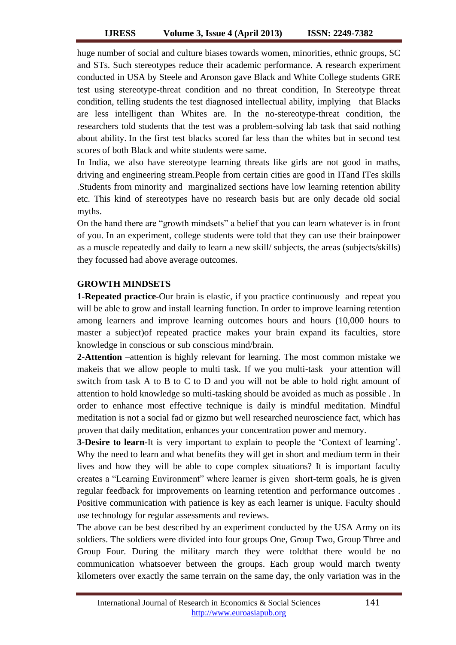huge number of social and culture biases towards women, minorities, ethnic groups, SC and STs. Such stereotypes reduce their academic performance. A research experiment conducted in USA by Steele and Aronson gave Black and White College students GRE test using stereotype-threat condition and no threat condition, In Stereotype threat condition, telling students the test diagnosed intellectual ability, implying that Blacks are less intelligent than Whites are. In the no-stereotype-threat condition, the researchers told students that the test was a problem-solving lab task that said nothing about ability. In the first test blacks scored far less than the whites but in second test scores of both Black and white students were same.

In India, we also have stereotype learning threats like girls are not good in maths, driving and engineering stream.People from certain cities are good in ITand ITes skills .Students from minority and marginalized sections have low learning retention ability etc. This kind of stereotypes have no research basis but are only decade old social myths.

On the hand there are "growth mindsets" a belief that you can learn whatever is in front of you. In an experiment, college students were told that they can use their brainpower as a muscle repeatedly and daily to learn a new skill/ subjects, the areas (subjects/skills) they focussed had above average outcomes.

# **GROWTH MINDSETS**

**1-Repeated practice-**Our brain is elastic, if you practice continuously and repeat you will be able to grow and install learning function. In order to improve learning retention among learners and improve learning outcomes hours and hours (10,000 hours to master a subject)of repeated practice makes your brain expand its faculties, store knowledge in conscious or sub conscious mind/brain.

**2-Attention –**attention is highly relevant for learning. The most common mistake we makeis that we allow people to multi task. If we you multi-task your attention will switch from task A to B to C to D and you will not be able to hold right amount of attention to hold knowledge so multi-tasking should be avoided as much as possible . In order to enhance most effective technique is daily is mindful meditation. Mindful meditation is not a social fad or gizmo but well researched neuroscience fact, which has proven that daily meditation, enhances your concentration power and memory.

**3-Desire to learn-**It is very important to explain to people the 'Context of learning'. Why the need to learn and what benefits they will get in short and medium term in their lives and how they will be able to cope complex situations? It is important faculty creates a "Learning Environment" where learner is given short-term goals, he is given regular feedback for improvements on learning retention and performance outcomes . Positive communication with patience is key as each learner is unique. Faculty should use technology for regular assessments and reviews.

The above can be best described by an experiment conducted by the USA Army on its soldiers. The soldiers were divided into four groups One, Group Two, Group Three and Group Four. During the military march they were toldthat there would be no communication whatsoever between the groups. Each group would march twenty kilometers over exactly the same terrain on the same day, the only variation was in the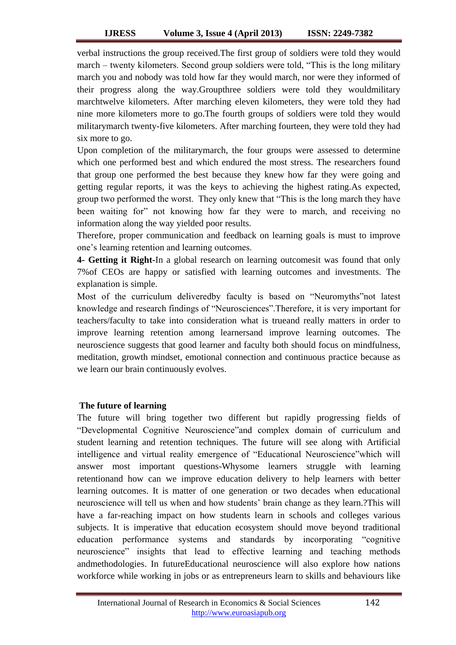verbal instructions the group received.The first group of soldiers were told they would march – twenty kilometers. Second group soldiers were told, "This is the long military march you and nobody was told how far they would march, nor were they informed of their progress along the way.Groupthree soldiers were told they wouldmilitary marchtwelve kilometers. After marching eleven kilometers, they were told they had nine more kilometers more to go.The fourth groups of soldiers were told they would militarymarch twenty-five kilometers. After marching fourteen, they were told they had six more to go.

Upon completion of the militarymarch, the four groups were assessed to determine which one performed best and which endured the most stress. The researchers found that group one performed the best because they knew how far they were going and getting regular reports, it was the keys to achieving the highest rating.As expected, group two performed the worst. They only knew that "This is the long march they have been waiting for" not knowing how far they were to march, and receiving no information along the way yielded poor results.

Therefore, proper communication and feedback on learning goals is must to improve one"s learning retention and learning outcomes.

**4- Getting it Right-**In a global research on learning outcomesit was found that only 7%of CEOs are happy or satisfied with learning outcomes and investments. The explanation is simple.

Most of the curriculum deliveredby faculty is based on "Neuromyths"not latest knowledge and research findings of "Neurosciences".Therefore, it is very important for teachers/faculty to take into consideration what is trueand really matters in order to improve learning retention among learnersand improve learning outcomes. The neuroscience suggests that good learner and faculty both should focus on mindfulness, meditation, growth mindset, emotional connection and continuous practice because as we learn our brain continuously evolves.

# **The future of learning**

The future will bring together two different but rapidly progressing fields of "Developmental Cognitive Neuroscience"and complex domain of curriculum and student learning and retention techniques. The future will see along with Artificial intelligence and virtual reality emergence of "Educational Neuroscience"which will answer most important questions-Whysome learners struggle with learning retentionand how can we improve education delivery to help learners with better learning outcomes. It is matter of one generation or two decades when educational neuroscience will tell us when and how students" brain change as they learn.?This will have a far-reaching impact on how students learn in schools and colleges various subjects. It is imperative that education ecosystem should move beyond traditional education performance systems and standards by incorporating "cognitive neuroscience" insights that lead to effective learning and teaching methods andmethodologies. In futureEducational neuroscience will also explore how nations workforce while working in jobs or as entrepreneurs learn to skills and behaviours like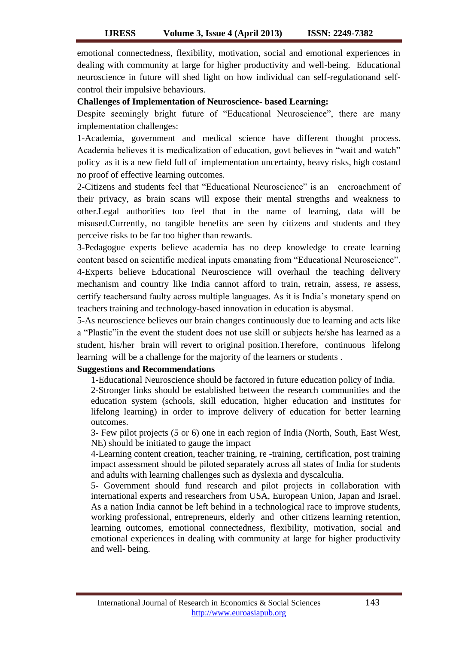emotional connectedness, flexibility, motivation, social and emotional experiences in dealing with community at large for higher productivity and well-being. Educational neuroscience in future will shed light on how individual can self-regulationand selfcontrol their impulsive behaviours.

## **Challenges of Implementation of Neuroscience- based Learning:**

Despite seemingly bright future of "Educational Neuroscience", there are many implementation challenges:

1-Academia, government and medical science have different thought process. Academia believes it is medicalization of education, govt believes in "wait and watch" policy as it is a new field full of implementation uncertainty, heavy risks, high costand no proof of effective learning outcomes.

2-Citizens and students feel that "Educational Neuroscience" is an encroachment of their privacy, as brain scans will expose their mental strengths and weakness to other.Legal authorities too feel that in the name of learning, data will be misused.Currently, no tangible benefits are seen by citizens and students and they perceive risks to be far too higher than rewards.

3-Pedagogue experts believe academia has no deep knowledge to create learning content based on scientific medical inputs emanating from "Educational Neuroscience". 4-Experts believe Educational Neuroscience will overhaul the teaching delivery mechanism and country like India cannot afford to train, retrain, assess, re assess, certify teachersand faulty across multiple languages. As it is India"s monetary spend on teachers training and technology-based innovation in education is abysmal.

5-As neuroscience believes our brain changes continuously due to learning and acts like a "Plastic"in the event the student does not use skill or subjects he/she has learned as a student, his/her brain will revert to original position.Therefore, continuous lifelong learning will be a challenge for the majority of the learners or students .

# **Suggestions and Recommendations**

1-Educational Neuroscience should be factored in future education policy of India.

2-Stronger links should be established between the research communities and the education system (schools, skill education, higher education and institutes for lifelong learning) in order to improve delivery of education for better learning outcomes.

3- Few pilot projects (5 or 6) one in each region of India (North, South, East West, NE) should be initiated to gauge the impact

4-Learning content creation, teacher training, re -training, certification, post training impact assessment should be piloted separately across all states of India for students and adults with learning challenges such as dyslexia and dyscalculia.

5- Government should fund research and pilot projects in collaboration with international experts and researchers from USA, European Union, Japan and Israel. As a nation India cannot be left behind in a technological race to improve students, working professional, entrepreneurs, elderly and other citizens learning retention, learning outcomes, emotional connectedness, flexibility, motivation, social and emotional experiences in dealing with community at large for higher productivity and well- being.